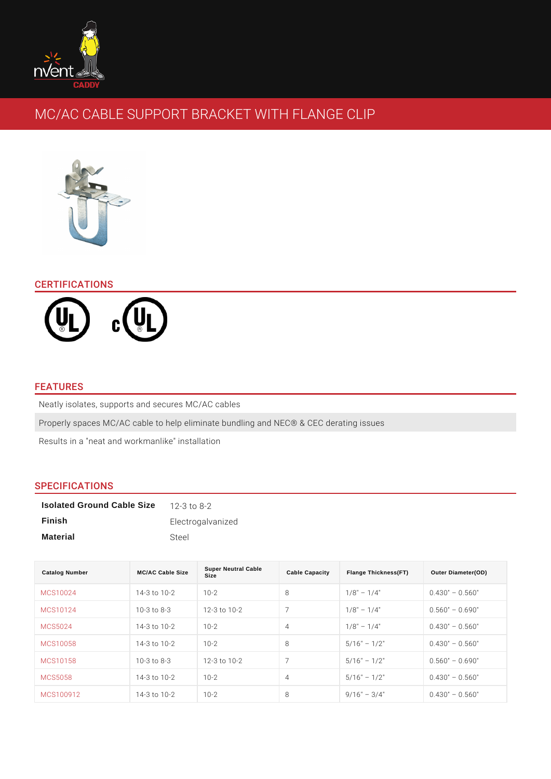# MC/AC CABLE SUPPORT BRACKET WITH FLANGE CL

# CERTIFICATIONS

## FEATURES

Neatly isolates, supports and secures MC/AC cables Properly spaces MC/AC cable to help eliminate bundling and NEC® & CEC derati Results in a "neat and workmanlike" installation

## SPECIFICATIONS

| Isolated Ground Cable Size | 12 - 3 to 8 - 2   |
|----------------------------|-------------------|
| Finish                     | Electrogalvanized |
| Material                   | Steel             |

| Catalog Number | MC/AC Cable Size            | <b>Super Neutral Cable</b><br>Size | Cable Capacity | Flange Thickness(FT) | Outer Diameter(OD) |
|----------------|-----------------------------|------------------------------------|----------------|----------------------|--------------------|
| MCS10024       | $14 - 3$ to $10 - 210 - 2$  |                                    | 8              | 1/8"<br>$1/4$ "      | 0.560<br>0.430"    |
| MCS10124       | $10 - 3$ to $8 - 3$         | $12 - 3$ to $10 - 2$               | $\overline{7}$ | $1/4$ "<br>1/8"      | 0.690"<br>0.560"   |
| MCS5024        | $14 - 3$ to $10 - 2$ 10 - 2 |                                    | $\overline{4}$ | 1/8"<br>$1/4$ "      | 0.560<br>0.430"    |
| MCS10058       | $14 - 3$ to $10 - 210 - 2$  |                                    | 8              | $1/2$ "<br>5/16"     | 0.560<br>0.430"    |
| MCS10158       |                             | 10-3 to 8-3 12-3 to 10-2           | 7              | $1/2$ "<br>5/16"     | 0.690<br>0.560"    |
| MCS5058        | $14 - 3$ to $10 - 210 - 2$  |                                    | $\overline{4}$ | $1/2$ "<br>5/16"     | 0.560<br>0.430"    |
| MCS100912      | $14 - 3$ to $10 - 210 - 2$  |                                    | 8              | 9/16"<br>$3/4$ "     | 0.560<br>0.430"    |